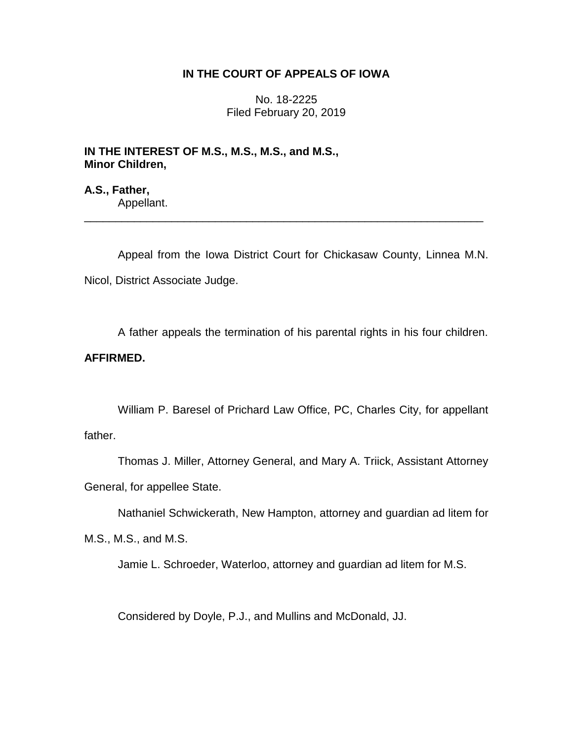## **IN THE COURT OF APPEALS OF IOWA**

No. 18-2225 Filed February 20, 2019

**IN THE INTEREST OF M.S., M.S., M.S., and M.S., Minor Children,**

**A.S., Father,** Appellant.

Appeal from the Iowa District Court for Chickasaw County, Linnea M.N. Nicol, District Associate Judge.

\_\_\_\_\_\_\_\_\_\_\_\_\_\_\_\_\_\_\_\_\_\_\_\_\_\_\_\_\_\_\_\_\_\_\_\_\_\_\_\_\_\_\_\_\_\_\_\_\_\_\_\_\_\_\_\_\_\_\_\_\_\_\_\_

A father appeals the termination of his parental rights in his four children.

## **AFFIRMED.**

William P. Baresel of Prichard Law Office, PC, Charles City, for appellant father.

Thomas J. Miller, Attorney General, and Mary A. Triick, Assistant Attorney General, for appellee State.

Nathaniel Schwickerath, New Hampton, attorney and guardian ad litem for

M.S., M.S., and M.S.

Jamie L. Schroeder, Waterloo, attorney and guardian ad litem for M.S.

Considered by Doyle, P.J., and Mullins and McDonald, JJ.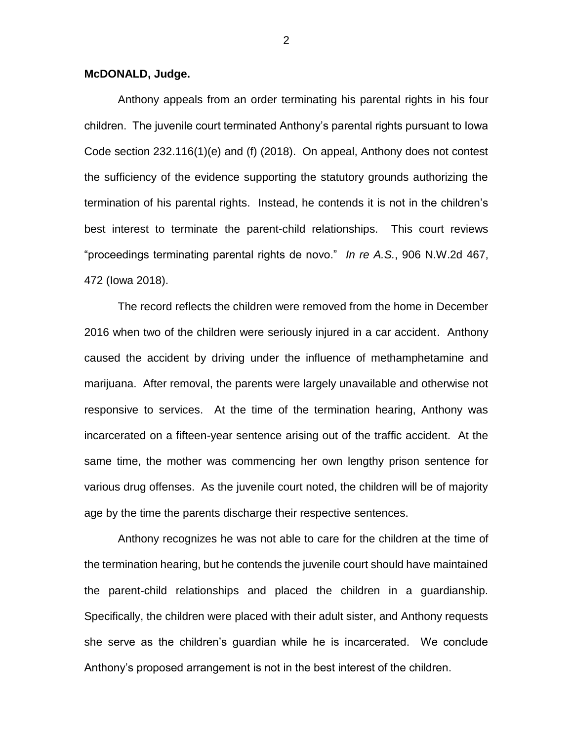## **McDONALD, Judge.**

Anthony appeals from an order terminating his parental rights in his four children. The juvenile court terminated Anthony's parental rights pursuant to Iowa Code section 232.116(1)(e) and (f) (2018). On appeal, Anthony does not contest the sufficiency of the evidence supporting the statutory grounds authorizing the termination of his parental rights. Instead, he contends it is not in the children's best interest to terminate the parent-child relationships. This court reviews "proceedings terminating parental rights de novo." *In re A.S.*, 906 N.W.2d 467, 472 (Iowa 2018).

The record reflects the children were removed from the home in December 2016 when two of the children were seriously injured in a car accident. Anthony caused the accident by driving under the influence of methamphetamine and marijuana. After removal, the parents were largely unavailable and otherwise not responsive to services. At the time of the termination hearing, Anthony was incarcerated on a fifteen-year sentence arising out of the traffic accident. At the same time, the mother was commencing her own lengthy prison sentence for various drug offenses. As the juvenile court noted, the children will be of majority age by the time the parents discharge their respective sentences.

Anthony recognizes he was not able to care for the children at the time of the termination hearing, but he contends the juvenile court should have maintained the parent-child relationships and placed the children in a guardianship. Specifically, the children were placed with their adult sister, and Anthony requests she serve as the children's guardian while he is incarcerated. We conclude Anthony's proposed arrangement is not in the best interest of the children.